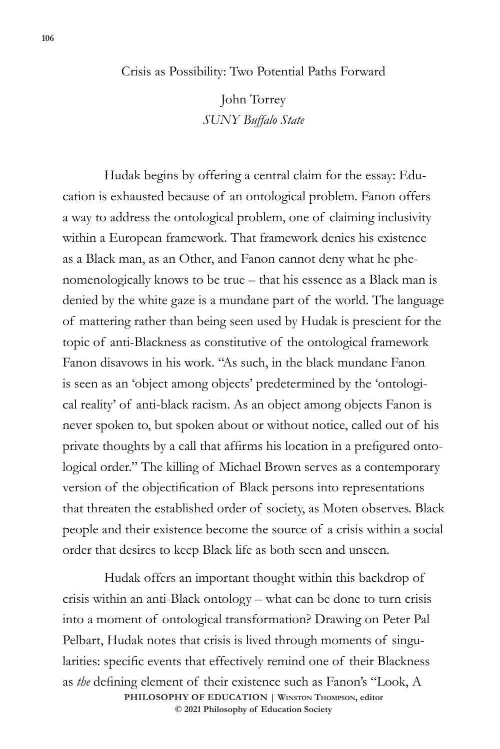## Crisis as Possibility: Two Potential Paths Forward

John Torrey *SUNY Buffalo State*

Hudak begins by offering a central claim for the essay: Education is exhausted because of an ontological problem. Fanon offers a way to address the ontological problem, one of claiming inclusivity within a European framework. That framework denies his existence as a Black man, as an Other, and Fanon cannot deny what he phenomenologically knows to be true – that his essence as a Black man is denied by the white gaze is a mundane part of the world. The language of mattering rather than being seen used by Hudak is prescient for the topic of anti-Blackness as constitutive of the ontological framework Fanon disavows in his work. "As such, in the black mundane Fanon is seen as an 'object among objects' predetermined by the 'ontological reality' of anti-black racism. As an object among objects Fanon is never spoken to, but spoken about or without notice, called out of his private thoughts by a call that affirms his location in a prefigured ontological order." The killing of Michael Brown serves as a contemporary version of the objectification of Black persons into representations that threaten the established order of society, as Moten observes. Black people and their existence become the source of a crisis within a social order that desires to keep Black life as both seen and unseen.

**PHILOSOPHY OF EDUCATION | Winston Thompson, editor © 2021 Philosophy of Education Society**  Hudak offers an important thought within this backdrop of crisis within an anti-Black ontology – what can be done to turn crisis into a moment of ontological transformation? Drawing on Peter Pal Pelbart, Hudak notes that crisis is lived through moments of singularities: specific events that effectively remind one of their Blackness as *the* defining element of their existence such as Fanon's "Look, A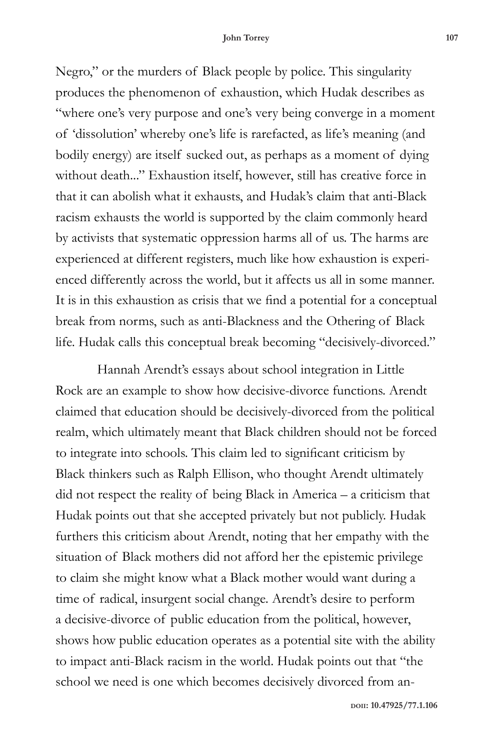Negro," or the murders of Black people by police. This singularity produces the phenomenon of exhaustion, which Hudak describes as "where one's very purpose and one's very being converge in a moment of 'dissolution' whereby one's life is rarefacted, as life's meaning (and bodily energy) are itself sucked out, as perhaps as a moment of dying without death..." Exhaustion itself, however, still has creative force in that it can abolish what it exhausts, and Hudak's claim that anti-Black racism exhausts the world is supported by the claim commonly heard by activists that systematic oppression harms all of us. The harms are experienced at different registers, much like how exhaustion is experienced differently across the world, but it affects us all in some manner. It is in this exhaustion as crisis that we find a potential for a conceptual break from norms, such as anti-Blackness and the Othering of Black life. Hudak calls this conceptual break becoming "decisively-divorced."

Hannah Arendt's essays about school integration in Little Rock are an example to show how decisive-divorce functions. Arendt claimed that education should be decisively-divorced from the political realm, which ultimately meant that Black children should not be forced to integrate into schools. This claim led to significant criticism by Black thinkers such as Ralph Ellison, who thought Arendt ultimately did not respect the reality of being Black in America – a criticism that Hudak points out that she accepted privately but not publicly. Hudak furthers this criticism about Arendt, noting that her empathy with the situation of Black mothers did not afford her the epistemic privilege to claim she might know what a Black mother would want during a time of radical, insurgent social change. Arendt's desire to perform a decisive-divorce of public education from the political, however, shows how public education operates as a potential site with the ability to impact anti-Black racism in the world. Hudak points out that "the school we need is one which becomes decisively divorced from an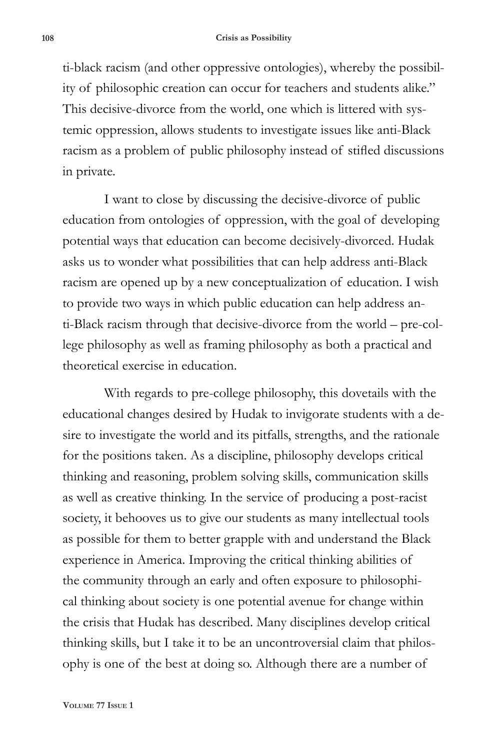ti-black racism (and other oppressive ontologies), whereby the possibility of philosophic creation can occur for teachers and students alike." This decisive-divorce from the world, one which is littered with systemic oppression, allows students to investigate issues like anti-Black racism as a problem of public philosophy instead of stifled discussions in private.

I want to close by discussing the decisive-divorce of public education from ontologies of oppression, with the goal of developing potential ways that education can become decisively-divorced. Hudak asks us to wonder what possibilities that can help address anti-Black racism are opened up by a new conceptualization of education. I wish to provide two ways in which public education can help address anti-Black racism through that decisive-divorce from the world – pre-college philosophy as well as framing philosophy as both a practical and theoretical exercise in education.

With regards to pre-college philosophy, this dovetails with the educational changes desired by Hudak to invigorate students with a desire to investigate the world and its pitfalls, strengths, and the rationale for the positions taken. As a discipline, philosophy develops critical thinking and reasoning, problem solving skills, communication skills as well as creative thinking. In the service of producing a post-racist society, it behooves us to give our students as many intellectual tools as possible for them to better grapple with and understand the Black experience in America. Improving the critical thinking abilities of the community through an early and often exposure to philosophical thinking about society is one potential avenue for change within the crisis that Hudak has described. Many disciplines develop critical thinking skills, but I take it to be an uncontroversial claim that philosophy is one of the best at doing so. Although there are a number of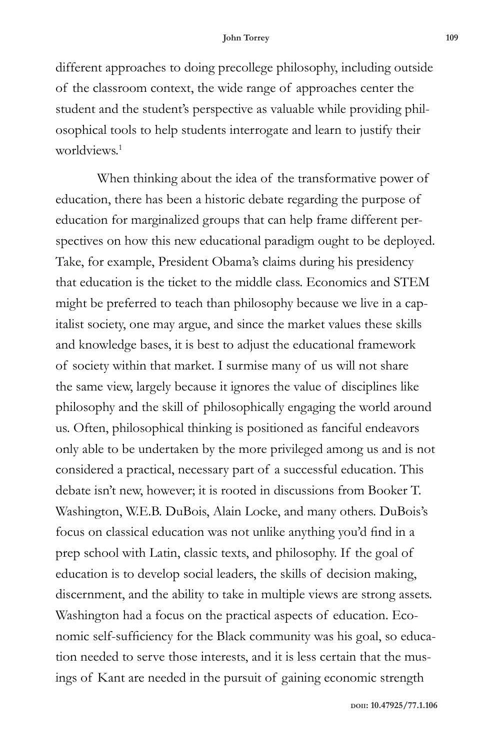different approaches to doing precollege philosophy, including outside of the classroom context, the wide range of approaches center the student and the student's perspective as valuable while providing philosophical tools to help students interrogate and learn to justify their worldviews<sup>1</sup>

When thinking about the idea of the transformative power of education, there has been a historic debate regarding the purpose of education for marginalized groups that can help frame different perspectives on how this new educational paradigm ought to be deployed. Take, for example, President Obama's claims during his presidency that education is the ticket to the middle class. Economics and STEM might be preferred to teach than philosophy because we live in a capitalist society, one may argue, and since the market values these skills and knowledge bases, it is best to adjust the educational framework of society within that market. I surmise many of us will not share the same view, largely because it ignores the value of disciplines like philosophy and the skill of philosophically engaging the world around us. Often, philosophical thinking is positioned as fanciful endeavors only able to be undertaken by the more privileged among us and is not considered a practical, necessary part of a successful education. This debate isn't new, however; it is rooted in discussions from Booker T. Washington, W.E.B. DuBois, Alain Locke, and many others. DuBois's focus on classical education was not unlike anything you'd find in a prep school with Latin, classic texts, and philosophy. If the goal of education is to develop social leaders, the skills of decision making, discernment, and the ability to take in multiple views are strong assets. Washington had a focus on the practical aspects of education. Economic self-sufficiency for the Black community was his goal, so education needed to serve those interests, and it is less certain that the musings of Kant are needed in the pursuit of gaining economic strength